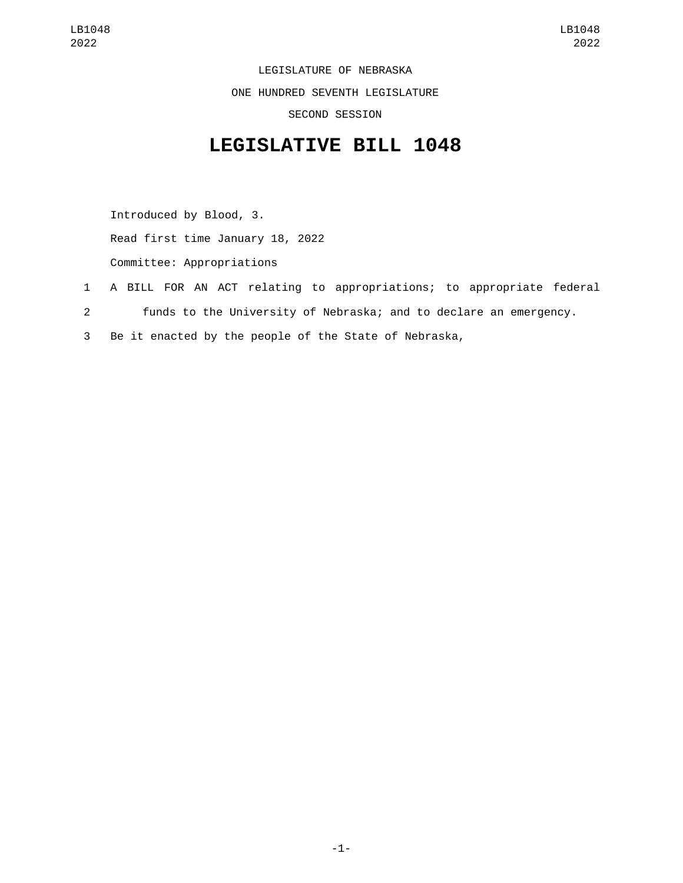LEGISLATURE OF NEBRASKA ONE HUNDRED SEVENTH LEGISLATURE SECOND SESSION

## **LEGISLATIVE BILL 1048**

Introduced by Blood, 3. Read first time January 18, 2022 Committee: Appropriations

- 1 A BILL FOR AN ACT relating to appropriations; to appropriate federal
- 2 funds to the University of Nebraska; and to declare an emergency.
- 3 Be it enacted by the people of the State of Nebraska,